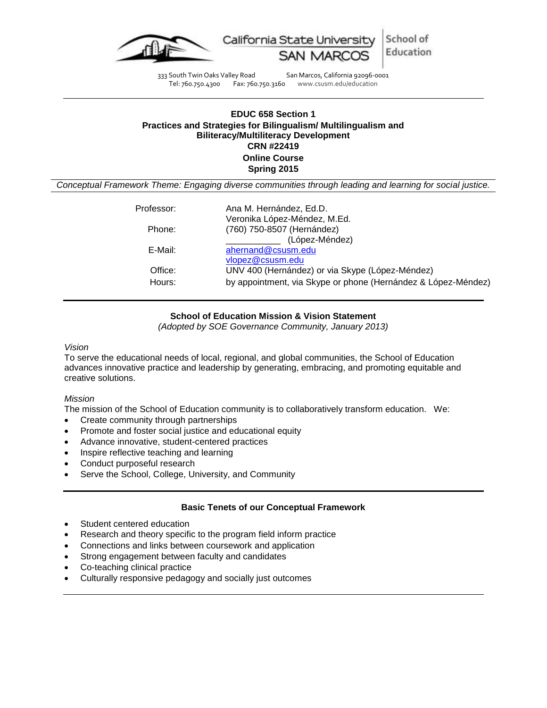



333 South Twin Oaks Valley Road San Marcos, California 92096-0001 Tel: 760.750.4300 Fax: 760.750.3160 www.csusm.edu/education

## **EDUC 658 Section 1 Practices and Strategies for Bilingualism/ Multilingualism and Biliteracy/Multiliteracy Development CRN #22419 Online Course Spring 2015**

*Conceptual Framework Theme: Engaging diverse communities through leading and learning for social justice.*

| Professor: | Ana M. Hernández, Ed.D.                                       |
|------------|---------------------------------------------------------------|
|            | Veronika López-Méndez, M.Ed.                                  |
| Phone:     | (760) 750-8507 (Hernández)                                    |
|            | (López-Méndez)                                                |
| E-Mail:    | ahernand@csusm.edu                                            |
|            | vlopez@csusm.edu                                              |
| Office:    | UNV 400 (Hernández) or via Skype (López-Méndez)               |
| Hours:     | by appointment, via Skype or phone (Hernández & López-Méndez) |
|            |                                                               |

# **School of Education Mission & Vision Statement**

*(Adopted by SOE Governance Community, January 2013)*

## *Vision*

To serve the educational needs of local, regional, and global communities, the School of Education advances innovative practice and leadership by generating, embracing, and promoting equitable and creative solutions.

## *Mission*

The mission of the School of Education community is to collaboratively transform education. We:

- Create community through partnerships
- Promote and foster social justice and educational equity
- Advance innovative, student-centered practices
- Inspire reflective teaching and learning
- Conduct purposeful research
- Serve the School, College, University, and Community

# **Basic Tenets of our Conceptual Framework**

- Student centered education
- Research and theory specific to the program field inform practice
- Connections and links between coursework and application
- Strong engagement between faculty and candidates
- Co-teaching clinical practice
- Culturally responsive pedagogy and socially just outcomes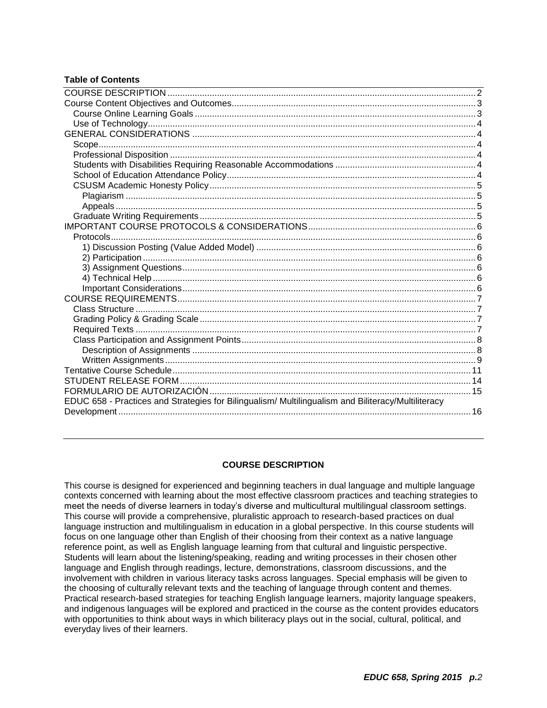# **Table of Contents**

| EDUC 658 - Practices and Strategies for Bilingualism/ Multilingualism and Biliteracy/Multiliteracy |  |
|----------------------------------------------------------------------------------------------------|--|
|                                                                                                    |  |
|                                                                                                    |  |

## **COURSE DESCRIPTION**

<span id="page-1-0"></span>This course is designed for experienced and beginning teachers in dual language and multiple language contexts concerned with learning about the most effective classroom practices and teaching strategies to meet the needs of diverse learners in today's diverse and multicultural multilingual classroom settings. This course will provide a comprehensive, pluralistic approach to research-based practices on dual language instruction and multilingualism in education in a global perspective. In this course students will focus on one language other than English of their choosing from their context as a native language reference point, as well as English language learning from that cultural and linguistic perspective. Students will learn about the listening/speaking, reading and writing processes in their chosen other language and English through readings, lecture, demonstrations, classroom discussions, and the involvement with children in various literacy tasks across languages. Special emphasis will be given to the choosing of culturally relevant texts and the teaching of language through content and themes. Practical research-based strategies for teaching English language learners, majority language speakers, and indigenous languages will be explored and practiced in the course as the content provides educators with opportunities to think about ways in which biliteracy plays out in the social, cultural, political, and everyday lives of their learners.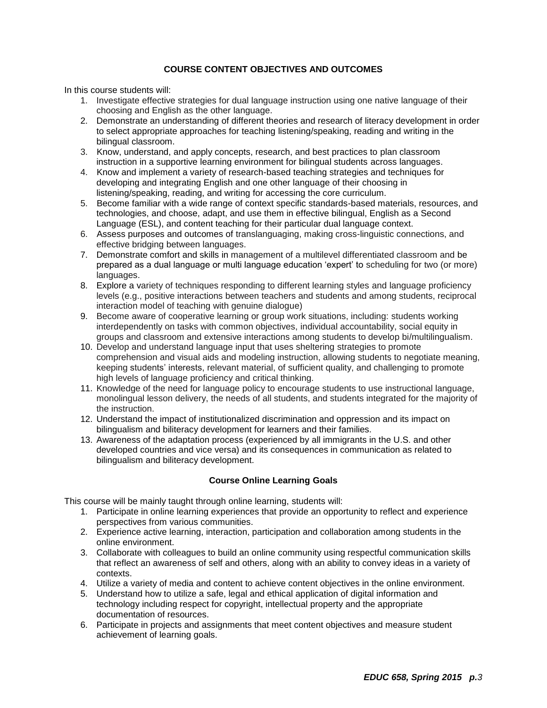# **COURSE CONTENT OBJECTIVES AND OUTCOMES**

<span id="page-2-0"></span>In this course students will:

- 1. Investigate effective strategies for dual language instruction using one native language of their choosing and English as the other language.
- 2. Demonstrate an understanding of different theories and research of literacy development in order to select appropriate approaches for teaching listening/speaking, reading and writing in the bilingual classroom.
- 3. Know, understand, and apply concepts, research, and best practices to plan classroom instruction in a supportive learning environment for bilingual students across languages.
- 4. Know and implement a variety of research-based teaching strategies and techniques for developing and integrating English and one other language of their choosing in listening/speaking, reading, and writing for accessing the core curriculum.
- 5. Become familiar with a wide range of context specific standards-based materials, resources, and technologies, and choose, adapt, and use them in effective bilingual, English as a Second Language (ESL), and content teaching for their particular dual language context.
- 6. Assess purposes and outcomes of translanguaging, making cross-linguistic connections, and effective bridging between languages.
- 7. Demonstrate comfort and skills in management of a multilevel differentiated classroom and be prepared as a dual language or multi language education 'expert' to scheduling for two (or more) languages.
- 8. Explore a variety of techniques responding to different learning styles and language proficiency levels (e.g., positive interactions between teachers and students and among students, reciprocal interaction model of teaching with genuine dialogue)
- 9. Become aware of cooperative learning or group work situations, including: students working interdependently on tasks with common objectives, individual accountability, social equity in groups and classroom and extensive interactions among students to develop bi/multilingualism.
- 10. Develop and understand language input that uses sheltering strategies to promote comprehension and visual aids and modeling instruction, allowing students to negotiate meaning, keeping students' interests, relevant material, of sufficient quality, and challenging to promote high levels of language proficiency and critical thinking.
- 11. Knowledge of the need for language policy to encourage students to use instructional language, monolingual lesson delivery, the needs of all students, and students integrated for the majority of the instruction.
- 12. Understand the impact of institutionalized discrimination and oppression and its impact on bilingualism and biliteracy development for learners and their families.
- 13. Awareness of the adaptation process (experienced by all immigrants in the U.S. and other developed countries and vice versa) and its consequences in communication as related to bilingualism and biliteracy development.

# **Course Online Learning Goals**

<span id="page-2-1"></span>This course will be mainly taught through online learning, students will:

- 1. Participate in online learning experiences that provide an opportunity to reflect and experience perspectives from various communities.
- 2. Experience active learning, interaction, participation and collaboration among students in the online environment.
- 3. Collaborate with colleagues to build an online community using respectful communication skills that reflect an awareness of self and others, along with an ability to convey ideas in a variety of contexts.
- 4. Utilize a variety of media and content to achieve content objectives in the online environment.
- 5. Understand how to utilize a safe, legal and ethical application of digital information and technology including respect for copyright, intellectual property and the appropriate documentation of resources.
- 6. Participate in projects and assignments that meet content objectives and measure student achievement of learning goals.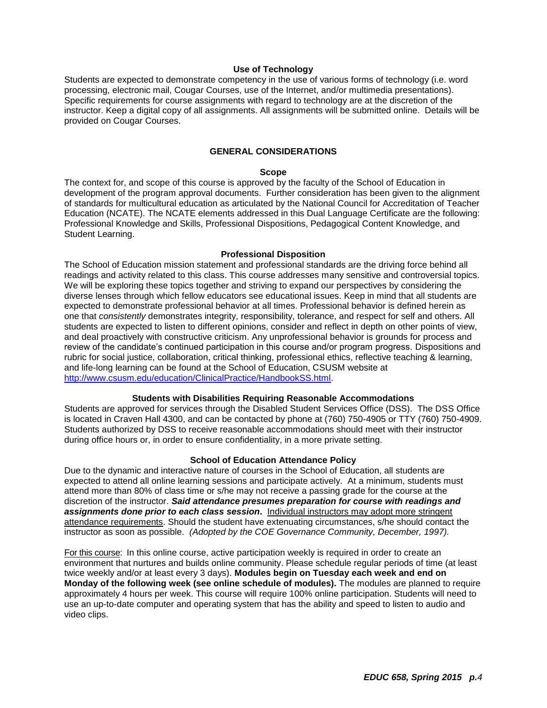#### **Use of Technology**

<span id="page-3-0"></span>Students are expected to demonstrate competency in the use of various forms of technology (i.e. word processing, electronic mail, Cougar Courses, use of the Internet, and/or multimedia presentations). Specific requirements for course assignments with regard to technology are at the discretion of the instructor. Keep a digital copy of all assignments. All assignments will be submitted online. Details will be provided on Cougar Courses.

#### **GENERAL CONSIDERATIONS**

#### **Scope**

<span id="page-3-2"></span><span id="page-3-1"></span>The context for, and scope of this course is approved by the faculty of the School of Education in development of the program approval documents. Further consideration has been given to the alignment of standards for multicultural education as articulated by the National Council for Accreditation of Teacher Education (NCATE). The NCATE elements addressed in this Dual Language Certificate are the following: Professional Knowledge and Skills, Professional Dispositions, Pedagogical Content Knowledge, and Student Learning.

#### **Professional Disposition**

<span id="page-3-3"></span>The School of Education mission statement and professional standards are the driving force behind all readings and activity related to this class. This course addresses many sensitive and controversial topics. We will be exploring these topics together and striving to expand our perspectives by considering the diverse lenses through which fellow educators see educational issues. Keep in mind that all students are expected to demonstrate professional behavior at all times. Professional behavior is defined herein as one that *consistently* demonstrates integrity, responsibility, tolerance, and respect for self and others. All students are expected to listen to different opinions, consider and reflect in depth on other points of view, and deal proactively with constructive criticism. Any unprofessional behavior is grounds for process and review of the candidate's continued participation in this course and/or program progress. Dispositions and rubric for social justice, collaboration, critical thinking, professional ethics, reflective teaching & learning, and life-long learning can be found at the School of Education, CSUSM website at [http://www.csusm.edu/education/ClinicalPractice/HandbookSS.html.](http://www.csusm.edu/education/ClinicalPractice/HandbookSS.html)

#### **Students with Disabilities Requiring Reasonable Accommodations**

<span id="page-3-4"></span>Students are approved for services through the Disabled Student Services Office (DSS). The DSS Office is located in Craven Hall 4300, and can be contacted by phone at (760) 750-4905 or TTY (760) 750-4909. Students authorized by DSS to receive reasonable accommodations should meet with their instructor during office hours or, in order to ensure confidentiality, in a more private setting.

#### **School of Education Attendance Policy**

<span id="page-3-5"></span>Due to the dynamic and interactive nature of courses in the School of Education, all students are expected to attend all online learning sessions and participate actively. At a minimum, students must attend more than 80% of class time or s/he may not receive a passing grade for the course at the discretion of the instructor. *Said attendance presumes preparation for course with readings and assignments done prior to each class session***.** Individual instructors may adopt more stringent attendance requirements. Should the student have extenuating circumstances, s/he should contact the instructor as soon as possible. *(Adopted by the COE Governance Community, December, 1997).*

For this course: In this online course, active participation weekly is required in order to create an environment that nurtures and builds online community. Please schedule regular periods of time (at least twice weekly and/or at least every 3 days). **Modules begin on Tuesday each week and end on Monday of the following week (see online schedule of modules).** The modules are planned to require approximately 4 hours per week. This course will require 100% online participation. Students will need to use an up-to-date computer and operating system that has the ability and speed to listen to audio and video clips.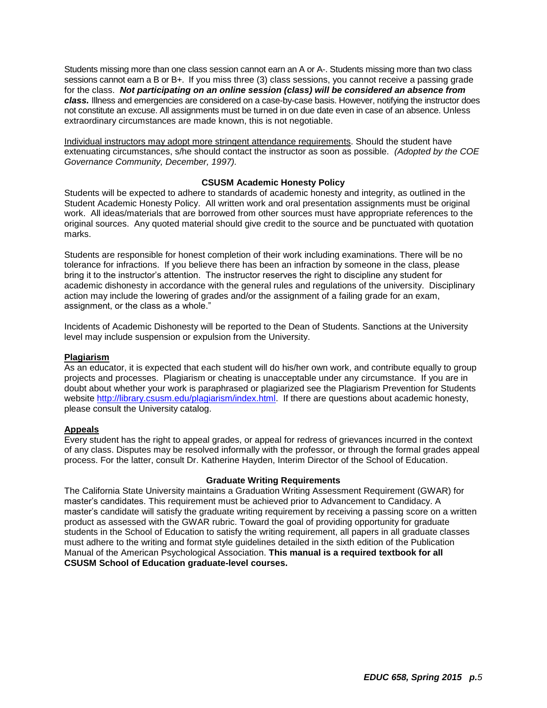Students missing more than one class session cannot earn an A or A-. Students missing more than two class sessions cannot earn a B or B+. If you miss three (3) class sessions, you cannot receive a passing grade for the class. *Not participating on an online session (class) will be considered an absence from class.* Illness and emergencies are considered on a case-by-case basis. However, notifying the instructor does not constitute an excuse. All assignments must be turned in on due date even in case of an absence. Unless extraordinary circumstances are made known, this is not negotiable.

Individual instructors may adopt more stringent attendance requirements. Should the student have extenuating circumstances, s/he should contact the instructor as soon as possible. *(Adopted by the COE Governance Community, December, 1997).*

## **CSUSM Academic Honesty Policy**

<span id="page-4-0"></span>Students will be expected to adhere to standards of academic honesty and integrity, as outlined in the Student Academic Honesty Policy. All written work and oral presentation assignments must be original work. All ideas/materials that are borrowed from other sources must have appropriate references to the original sources. Any quoted material should give credit to the source and be punctuated with quotation marks.

Students are responsible for honest completion of their work including examinations. There will be no tolerance for infractions. If you believe there has been an infraction by someone in the class, please bring it to the instructor's attention. The instructor reserves the right to discipline any student for academic dishonesty in accordance with the general rules and regulations of the university. Disciplinary action may include the lowering of grades and/or the assignment of a failing grade for an exam, assignment, or the class as a whole."

Incidents of Academic Dishonesty will be reported to the Dean of Students. Sanctions at the University level may include suspension or expulsion from the University.

## <span id="page-4-1"></span>**Plagiarism**

As an educator, it is expected that each student will do his/her own work, and contribute equally to group projects and processes. Plagiarism or cheating is unacceptable under any circumstance. If you are in doubt about whether your work is paraphrased or plagiarized see the Plagiarism Prevention for Students website [http://library.csusm.edu/plagiarism/index.html.](http://library.csusm.edu/plagiarism/index.html) If there are questions about academic honesty, please consult the University catalog.

## <span id="page-4-2"></span>**Appeals**

Every student has the right to appeal grades, or appeal for redress of grievances incurred in the context of any class. Disputes may be resolved informally with the professor, or through the formal grades appeal process. For the latter, consult Dr. Katherine Hayden, Interim Director of the School of Education.

#### **Graduate Writing Requirements**

<span id="page-4-3"></span>The California State University maintains a Graduation Writing Assessment Requirement (GWAR) for master's candidates. This requirement must be achieved prior to Advancement to Candidacy. A master's candidate will satisfy the graduate writing requirement by receiving a passing score on a written product as assessed with the GWAR rubric. Toward the goal of providing opportunity for graduate students in the School of Education to satisfy the writing requirement, all papers in all graduate classes must adhere to the writing and format style guidelines detailed in the sixth edition of the Publication Manual of the American Psychological Association. **This manual is a required textbook for all CSUSM School of Education graduate-level courses.**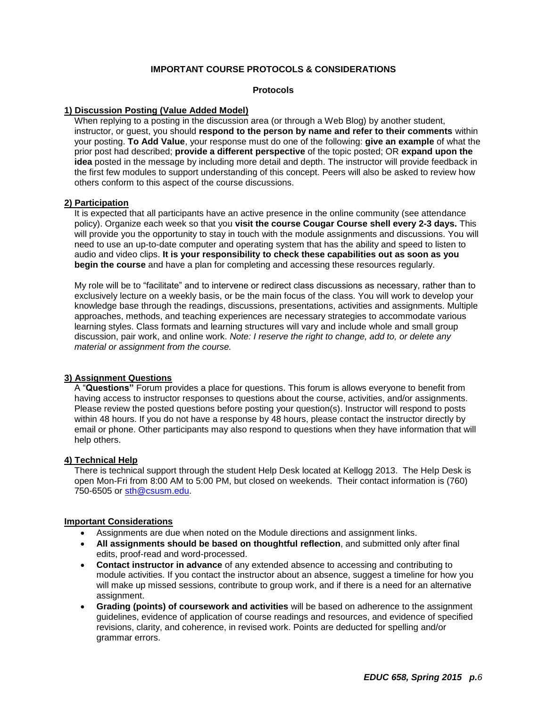# **IMPORTANT COURSE PROTOCOLS & CONSIDERATIONS**

#### **Protocols**

## <span id="page-5-2"></span><span id="page-5-1"></span><span id="page-5-0"></span>**1) Discussion Posting (Value Added Model)**

When replying to a posting in the discussion area (or through a Web Blog) by another student, instructor, or guest, you should **respond to the person by name and refer to their comments** within your posting. **To Add Value**, your response must do one of the following: **give an example** of what the prior post had described; **provide a different perspective** of the topic posted; OR **expand upon the idea** posted in the message by including more detail and depth. The instructor will provide feedback in the first few modules to support understanding of this concept. Peers will also be asked to review how others conform to this aspect of the course discussions.

## <span id="page-5-3"></span>**2) Participation**

It is expected that all participants have an active presence in the online community (see attendance policy). Organize each week so that you **visit the course Cougar Course shell every 2-3 days.** This will provide you the opportunity to stay in touch with the module assignments and discussions. You will need to use an up-to-date computer and operating system that has the ability and speed to listen to audio and video clips. **It is your responsibility to check these capabilities out as soon as you begin the course** and have a plan for completing and accessing these resources regularly.

My role will be to "facilitate" and to intervene or redirect class discussions as necessary, rather than to exclusively lecture on a weekly basis, or be the main focus of the class. You will work to develop your knowledge base through the readings, discussions, presentations, activities and assignments. Multiple approaches, methods, and teaching experiences are necessary strategies to accommodate various learning styles. Class formats and learning structures will vary and include whole and small group discussion, pair work, and online work. *Note: I reserve the right to change, add to, or delete any material or assignment from the course.*

## <span id="page-5-4"></span>**3) Assignment Questions**

A "**Questions"** Forum provides a place for questions. This forum is allows everyone to benefit from having access to instructor responses to questions about the course, activities, and/or assignments. Please review the posted questions before posting your question(s). Instructor will respond to posts within 48 hours. If you do not have a response by 48 hours, please contact the instructor directly by email or phone. Other participants may also respond to questions when they have information that will help others.

## <span id="page-5-5"></span>**4) Technical Help**

There is technical support through the student Help Desk located at Kellogg 2013. The Help Desk is open Mon-Fri from 8:00 AM to 5:00 PM, but closed on weekends. Their contact information is (760) 750-6505 or [sth@csusm.edu.](mailto:sth@csusm.edu)

#### <span id="page-5-6"></span>**Important Considerations**

- Assignments are due when noted on the Module directions and assignment links.
- **All assignments should be based on thoughtful reflection**, and submitted only after final edits, proof-read and word-processed.
- **Contact instructor in advance** of any extended absence to accessing and contributing to module activities. If you contact the instructor about an absence, suggest a timeline for how you will make up missed sessions, contribute to group work, and if there is a need for an alternative assignment.
- **Grading (points) of coursework and activities** will be based on adherence to the assignment guidelines, evidence of application of course readings and resources, and evidence of specified revisions, clarity, and coherence, in revised work. Points are deducted for spelling and/or grammar errors.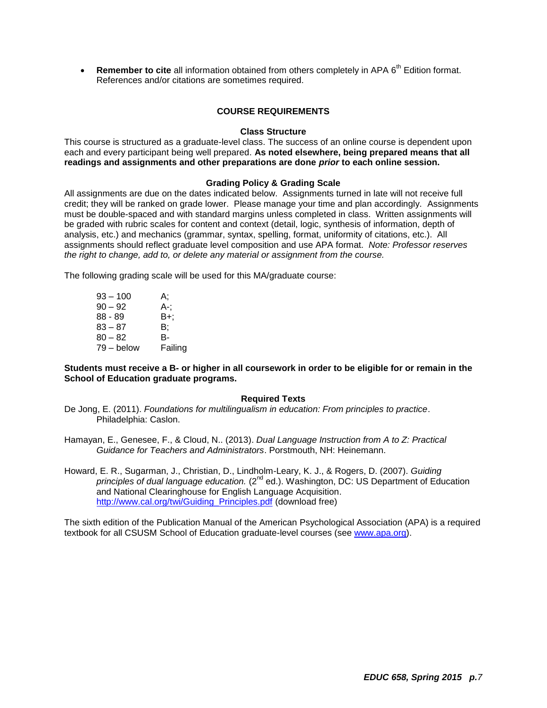Remember to cite all information obtained from others completely in APA 6<sup>th</sup> Edition format. References and/or citations are sometimes required.

## **COURSE REQUIREMENTS**

## **Class Structure**

<span id="page-6-1"></span><span id="page-6-0"></span>This course is structured as a graduate-level class. The success of an online course is dependent upon each and every participant being well prepared. **As noted elsewhere, being prepared means that all readings and assignments and other preparations are done** *prior* **to each online session.** 

#### **Grading Policy & Grading Scale**

<span id="page-6-2"></span>All assignments are due on the dates indicated below. Assignments turned in late will not receive full credit; they will be ranked on grade lower. Please manage your time and plan accordingly. Assignments must be double-spaced and with standard margins unless completed in class. Written assignments will be graded with rubric scales for content and context (detail, logic, synthesis of information, depth of analysis, etc.) and mechanics (grammar, syntax, spelling, format, uniformity of citations, etc.). All assignments should reflect graduate level composition and use APA format. *Note: Professor reserves the right to change, add to, or delete any material or assignment from the course.*

The following grading scale will be used for this MA/graduate course:

| $93 - 100$ | А:      |
|------------|---------|
| $90 - 92$  | А-:     |
| $88 - 89$  | B+;     |
| $83 - 87$  | B:      |
| $80 - 82$  | B-      |
| 79 – below | Failing |

**Students must receive a B- or higher in all coursework in order to be eligible for or remain in the School of Education graduate programs.**

#### **Required Texts**

<span id="page-6-3"></span>De Jong, E. (2011). *Foundations for multilingualism in education: From principles to practice*. Philadelphia: Caslon.

Hamayan, E., Genesee, F., & Cloud, N.. (2013). *Dual Language Instruction from A to Z: Practical Guidance for Teachers and Administrators*. Porstmouth, NH: Heinemann.

Howard, E. R., Sugarman, J., Christian, D., Lindholm-Leary, K. J., & Rogers, D. (2007). *Guiding principles of dual language education.* (2<sup>nd</sup> ed.). Washington, DC: US Department of Education and National Clearinghouse for English Language Acquisition. [http://www.cal.org/twi/Guiding\\_Principles.pdf](http://www.cal.org/twi/Guiding_Principles.pdf) (download free)

The sixth edition of the Publication Manual of the American Psychological Association (APA) is a required textbook for all CSUSM School of Education graduate-level courses (see [www.apa.org\)](http://www.apa.org/).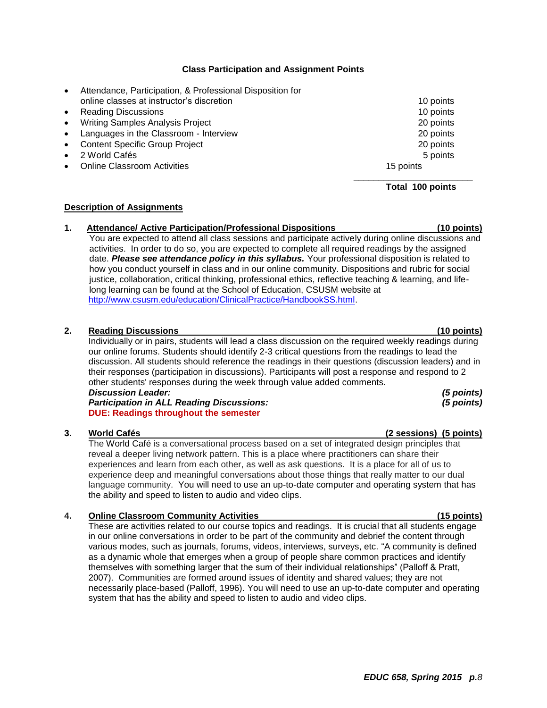*EDUC 658, Spring 2015 p.8*

## **Class Participation and Assignment Points**

- <span id="page-7-0"></span> Attendance, Participation, & Professional Disposition for online classes at instructor's discretion 10 points 10 points 10 points
- Reading Discussions 10 points 10 points 10 points 10 points 10 points 10 points 10 points 10 points 10 points 10 points 10 points 10 points 10 points 10 points 10 points 10 points 10 points 10 points 10 points 10 points
- Writing Samples Analysis Project 20 points 20 points
- Languages in the Classroom Interview 20 points
- Content Specific Group Project 20 points
- 2 World Cafés 5 points 3 points and 2 world Cafés 5 points 3 points 3 points 3 points 3 points 3 points 3 points 3 points 3 points 3 points 3 points 3 points 3 points 3 points 3 points 3 points 3 points 3 points 3 points 3
- Online Classroom Activities 15 points 15 points 15 points

## <span id="page-7-1"></span>**Description of Assignments**

#### **1. Attendance/ Active Participation/Professional Dispositions (10 points)** You are expected to attend all class sessions and participate actively during online discussions and activities. In order to do so, you are expected to complete all required readings by the assigned date. *Please see attendance policy in this syllabus.* Your professional disposition is related to how you conduct yourself in class and in our online community. Dispositions and rubric for social justice, collaboration, critical thinking, professional ethics, reflective teaching & learning, and lifelong learning can be found at the School of Education, CSUSM website at [http://www.csusm.edu/education/ClinicalPractice/HandbookSS.html.](http://www.csusm.edu/education/ClinicalPractice/HandbookSS.html)

## **2. Reading Discussions (10 points)**

Individually or in pairs, students will lead a class discussion on the required weekly readings during our online forums. Students should identify 2-3 critical questions from the readings to lead the discussion. All students should reference the readings in their questions (discussion leaders) and in their responses (participation in discussions). Participants will post a response and respond to 2 other students' responses during the week through value added comments. *Discussion Leader: (5 points) Participation in ALL Reading Discussions: (5 points)*

**DUE: Readings throughout the semester**

## **3. World Cafés (2 sessions) (5 points)**

The World Café is a conversational process based on a set of integrated design principles that reveal a deeper living network pattern. This is a place where practitioners can share their experiences and learn from each other, as well as ask questions. It is a place for all of us to experience deep and meaningful conversations about those things that really matter to our dual language community. You will need to use an up-to-date computer and operating system that has the ability and speed to listen to audio and video clips.

# **4. Online Classroom Community Activities (15 points)**

These are activities related to our course topics and readings. It is crucial that all students engage in our online conversations in order to be part of the community and debrief the content through various modes, such as journals, forums, videos, interviews, surveys, etc. "A community is defined as a dynamic whole that emerges when a group of people share common practices and identify themselves with something larger that the sum of their individual relationships" (Palloff & Pratt, 2007). Communities are formed around issues of identity and shared values; they are not necessarily place-based (Palloff, 1996). You will need to use an up-to-date computer and operating system that has the ability and speed to listen to audio and video clips.

\_\_\_\_\_\_\_\_\_\_\_\_\_\_\_\_\_\_\_\_\_\_\_\_ **Total 100 points**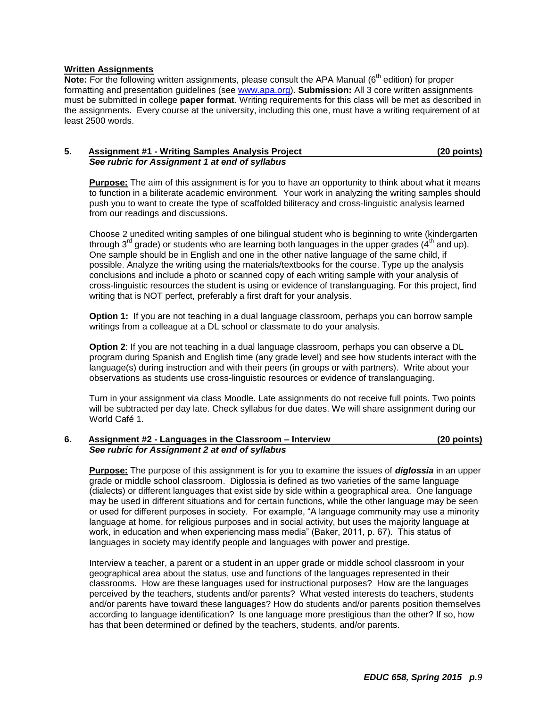## <span id="page-8-0"></span>**Written Assignments**

**Note:** For the following written assignments, please consult the APA Manual (6<sup>th</sup> edition) for proper formatting and presentation guidelines (see [www.apa.org\)](http://www.apa.org/). **Submission:** All 3 core written assignments must be submitted in college **paper format**. Writing requirements for this class will be met as described in the assignments. Every course at the university, including this one, must have a writing requirement of at least 2500 words.

## **5. Assignment #1 - Writing Samples Analysis Project (20 points)**  *See rubric for Assignment 1 at end of syllabus*

**Purpose:** The aim of this assignment is for you to have an opportunity to think about what it means to function in a biliterate academic environment. Your work in analyzing the writing samples should push you to want to create the type of scaffolded biliteracy and cross-linguistic analysis learned from our readings and discussions.

Choose 2 unedited writing samples of one bilingual student who is beginning to write (kindergarten through  $3<sup>rd</sup>$  grade) or students who are learning both languages in the upper grades (4<sup>th</sup> and up). One sample should be in English and one in the other native language of the same child, if possible. Analyze the writing using the materials/textbooks for the course. Type up the analysis conclusions and include a photo or scanned copy of each writing sample with your analysis of cross-linguistic resources the student is using or evidence of translanguaging. For this project, find writing that is NOT perfect, preferably a first draft for your analysis.

**Option 1:** If you are not teaching in a dual language classroom, perhaps you can borrow sample writings from a colleague at a DL school or classmate to do your analysis.

**Option 2:** If you are not teaching in a dual language classroom, perhaps you can observe a DL program during Spanish and English time (any grade level) and see how students interact with the language(s) during instruction and with their peers (in groups or with partners). Write about your observations as students use cross-linguistic resources or evidence of translanguaging.

Turn in your assignment via class Moodle. Late assignments do not receive full points. Two points will be subtracted per day late. Check syllabus for due dates. We will share assignment during our World Café 1.

## **6. Assignment #2 - Languages in the Classroom – Interview (20 points)** *See rubric for Assignment 2 at end of syllabus*

**Purpose:** The purpose of this assignment is for you to examine the issues of *diglossia* in an upper grade or middle school classroom. Diglossia is defined as two varieties of the same language (dialects) or different languages that exist side by side within a geographical area. One language may be used in different situations and for certain functions, while the other language may be seen or used for different purposes in society. For example, "A language community may use a minority language at home, for religious purposes and in social activity, but uses the majority language at work, in education and when experiencing mass media" (Baker, 2011, p. 67). This status of languages in society may identify people and languages with power and prestige.

Interview a teacher, a parent or a student in an upper grade or middle school classroom in your geographical area about the status, use and functions of the languages represented in their classrooms. How are these languages used for instructional purposes? How are the languages perceived by the teachers, students and/or parents? What vested interests do teachers, students and/or parents have toward these languages? How do students and/or parents position themselves according to language identification? Is one language more prestigious than the other? If so, how has that been determined or defined by the teachers, students, and/or parents.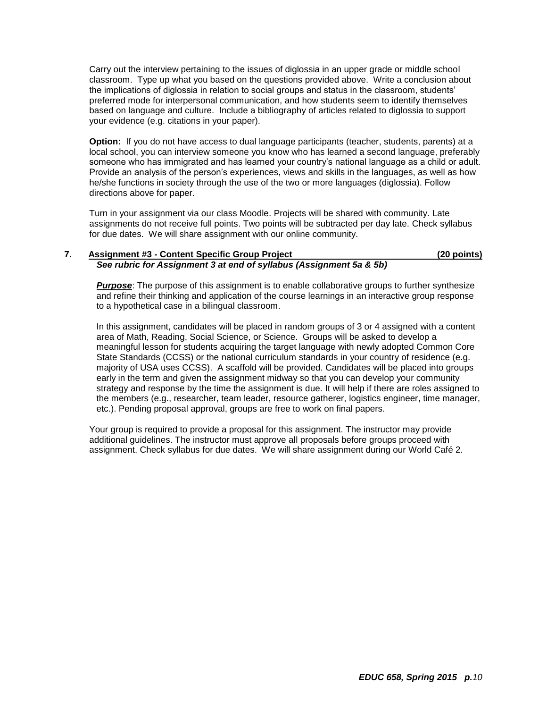Carry out the interview pertaining to the issues of diglossia in an upper grade or middle school classroom. Type up what you based on the questions provided above. Write a conclusion about the implications of diglossia in relation to social groups and status in the classroom, students' preferred mode for interpersonal communication, and how students seem to identify themselves based on language and culture. Include a bibliography of articles related to diglossia to support your evidence (e.g. citations in your paper).

**Option:** If you do not have access to dual language participants (teacher, students, parents) at a local school, you can interview someone you know who has learned a second language, preferably someone who has immigrated and has learned your country's national language as a child or adult. Provide an analysis of the person's experiences, views and skills in the languages, as well as how he/she functions in society through the use of the two or more languages (diglossia). Follow directions above for paper.

Turn in your assignment via our class Moodle. Projects will be shared with community. Late assignments do not receive full points. Two points will be subtracted per day late. Check syllabus for due dates. We will share assignment with our online community.

## **7. Assignment #3 - Content Specific Group Project (20 points)** *See rubric for Assignment 3 at end of syllabus (Assignment 5a & 5b)*

**Purpose**: The purpose of this assignment is to enable collaborative groups to further synthesize and refine their thinking and application of the course learnings in an interactive group response to a hypothetical case in a bilingual classroom.

In this assignment, candidates will be placed in random groups of 3 or 4 assigned with a content area of Math, Reading, Social Science, or Science. Groups will be asked to develop a meaningful lesson for students acquiring the target language with newly adopted Common Core State Standards (CCSS) or the national curriculum standards in your country of residence (e.g. majority of USA uses CCSS). A scaffold will be provided. Candidates will be placed into groups early in the term and given the assignment midway so that you can develop your community strategy and response by the time the assignment is due. It will help if there are roles assigned to the members (e.g., researcher, team leader, resource gatherer, logistics engineer, time manager, etc.). Pending proposal approval, groups are free to work on final papers.

Your group is required to provide a proposal for this assignment. The instructor may provide additional guidelines. The instructor must approve all proposals before groups proceed with assignment. Check syllabus for due dates. We will share assignment during our World Café 2.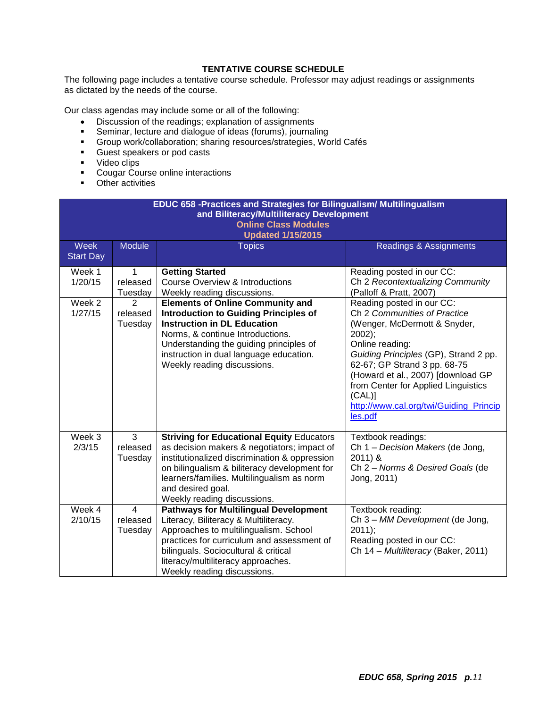# **TENTATIVE COURSE SCHEDULE**

<span id="page-10-0"></span>The following page includes a tentative course schedule. Professor may adjust readings or assignments as dictated by the needs of the course.

Our class agendas may include some or all of the following:

- Discussion of the readings; explanation of assignments
- Seminar, lecture and dialogue of ideas (forums), journaling
- Group work/collaboration; sharing resources/strategies, World Cafés
- **Guest speakers or pod casts**
- **video clips**
- **Cougar Course online interactions**
- **•** Other activities

| EDUC 658 -Practices and Strategies for Bilingualism/ Multilingualism<br>and Biliteracy/Multiliteracy Development |                                                     |                                                                                                                                                                                                                                                                                                    |                                                                                                                                                                                                                                                                                      |  |
|------------------------------------------------------------------------------------------------------------------|-----------------------------------------------------|----------------------------------------------------------------------------------------------------------------------------------------------------------------------------------------------------------------------------------------------------------------------------------------------------|--------------------------------------------------------------------------------------------------------------------------------------------------------------------------------------------------------------------------------------------------------------------------------------|--|
| <b>Online Class Modules</b><br><b>Updated 1/15/2015</b>                                                          |                                                     |                                                                                                                                                                                                                                                                                                    |                                                                                                                                                                                                                                                                                      |  |
| <b>Week</b><br><b>Start Day</b>                                                                                  | <b>Module</b>                                       | <b>Topics</b>                                                                                                                                                                                                                                                                                      | Readings & Assignments                                                                                                                                                                                                                                                               |  |
| Week 1<br>1/20/15<br>Week 2<br>1/27/15                                                                           | $\mathbf 1$<br>released<br>Tuesday<br>2<br>released | <b>Getting Started</b><br><b>Course Overview &amp; Introductions</b><br>Weekly reading discussions.<br><b>Elements of Online Community and</b><br><b>Introduction to Guiding Principles of</b>                                                                                                     | Reading posted in our CC:<br>Ch 2 Recontextualizing Community<br>(Palloff & Pratt, 2007)<br>Reading posted in our CC:<br>Ch 2 Communities of Practice                                                                                                                                |  |
|                                                                                                                  | Tuesday                                             | <b>Instruction in DL Education</b><br>Norms, & continue Introductions.<br>Understanding the guiding principles of<br>instruction in dual language education.<br>Weekly reading discussions.                                                                                                        | (Wenger, McDermott & Snyder,<br>$2002$ );<br>Online reading:<br>Guiding Principles (GP), Strand 2 pp.<br>62-67; GP Strand 3 pp. 68-75<br>(Howard et al., 2007) [download GP<br>from Center for Applied Linguistics<br>$(CAL)$ ]<br>http://www.cal.org/twi/Guiding_Princip<br>les.pdf |  |
| Week 3<br>2/3/15                                                                                                 | $\overline{3}$<br>released<br>Tuesday               | <b>Striving for Educational Equity Educators</b><br>as decision makers & negotiators; impact of<br>institutionalized discrimination & oppression<br>on bilingualism & biliteracy development for<br>learners/families. Multilingualism as norm<br>and desired goal.<br>Weekly reading discussions. | Textbook readings:<br>Ch 1 - Decision Makers (de Jong,<br>$2011$ ) &<br>Ch 2 - Norms & Desired Goals (de<br>Jong, 2011)                                                                                                                                                              |  |
| Week 4<br>2/10/15                                                                                                | $\overline{4}$<br>released<br>Tuesday               | <b>Pathways for Multilingual Development</b><br>Literacy, Biliteracy & Multiliteracy.<br>Approaches to multilingualism. School<br>practices for curriculum and assessment of<br>bilinguals. Sociocultural & critical<br>literacy/multiliteracy approaches.<br>Weekly reading discussions.          | Textbook reading:<br>Ch 3 - MM Development (de Jong,<br>$2011$ ;<br>Reading posted in our CC:<br>Ch 14 - Multiliteracy (Baker, 2011)                                                                                                                                                 |  |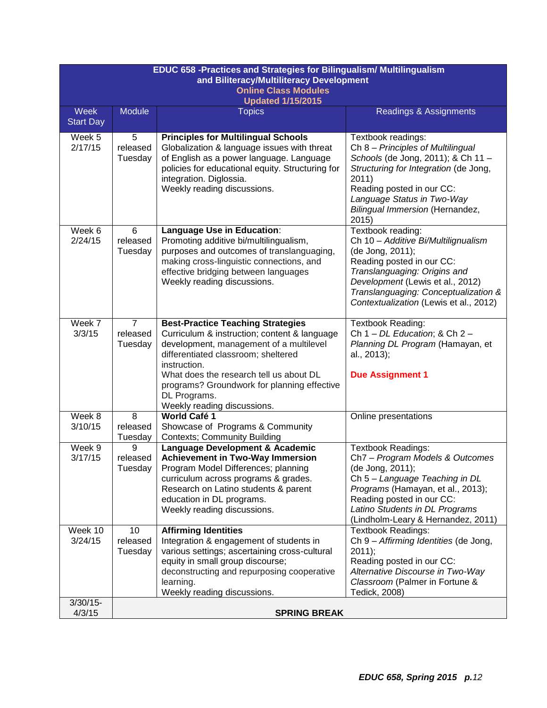| EDUC 658 -Practices and Strategies for Bilingualism/ Multilingualism<br>and Biliteracy/Multiliteracy Development |                                       |                                                                                                                                                                                                                                                                                                                                     |                                                                                                                                                                                                                                                                 |  |
|------------------------------------------------------------------------------------------------------------------|---------------------------------------|-------------------------------------------------------------------------------------------------------------------------------------------------------------------------------------------------------------------------------------------------------------------------------------------------------------------------------------|-----------------------------------------------------------------------------------------------------------------------------------------------------------------------------------------------------------------------------------------------------------------|--|
| <b>Online Class Modules</b><br><b>Updated 1/15/2015</b>                                                          |                                       |                                                                                                                                                                                                                                                                                                                                     |                                                                                                                                                                                                                                                                 |  |
| Week<br><b>Start Day</b>                                                                                         | <b>Module</b>                         | <b>Topics</b>                                                                                                                                                                                                                                                                                                                       | Readings & Assignments                                                                                                                                                                                                                                          |  |
| Week 5<br>2/17/15                                                                                                | 5<br>released<br>Tuesday              | <b>Principles for Multilingual Schools</b><br>Globalization & language issues with threat<br>of English as a power language. Language<br>policies for educational equity. Structuring for<br>integration. Diglossia.<br>Weekly reading discussions.                                                                                 | Textbook readings:<br>Ch 8 - Principles of Multilingual<br>Schools (de Jong, 2011); & Ch 11 -<br>Structuring for Integration (de Jong,<br>2011)<br>Reading posted in our CC:<br>Language Status in Two-Way<br>Bilingual Immersion (Hernandez,<br>2015)          |  |
| Week 6<br>2/24/15                                                                                                | 6<br>released<br>Tuesday              | Language Use in Education:<br>Promoting additive bi/multilingualism,<br>purposes and outcomes of translanguaging,<br>making cross-linguistic connections, and<br>effective bridging between languages<br>Weekly reading discussions.                                                                                                | Textbook reading:<br>Ch 10 - Additive Bi/Multilignualism<br>(de Jong, 2011);<br>Reading posted in our CC:<br>Translanguaging: Origins and<br>Development (Lewis et al., 2012)<br>Translanguaging: Conceptualization &<br>Contextualization (Lewis et al., 2012) |  |
| Week 7<br>3/3/15                                                                                                 | $\overline{7}$<br>released<br>Tuesday | <b>Best-Practice Teaching Strategies</b><br>Curriculum & instruction; content & language<br>development, management of a multilevel<br>differentiated classroom; sheltered<br>instruction.<br>What does the research tell us about DL<br>programs? Groundwork for planning effective<br>DL Programs.<br>Weekly reading discussions. | Textbook Reading:<br>Ch 1 - DL Education; & Ch 2 -<br>Planning DL Program (Hamayan, et<br>al., 2013);<br><b>Due Assignment 1</b>                                                                                                                                |  |
| Week 8<br>3/10/15                                                                                                | 8<br>released<br>Tuesday              | World Café 1<br>Showcase of Programs & Community<br><b>Contexts; Community Building</b>                                                                                                                                                                                                                                             | Online presentations                                                                                                                                                                                                                                            |  |
| Week 9<br>3/17/15                                                                                                | 9<br>released<br>Tuesday              | Language Development & Academic<br><b>Achievement in Two-Way Immersion</b><br>Program Model Differences; planning<br>curriculum across programs & grades.<br>Research on Latino students & parent<br>education in DL programs.<br>Weekly reading discussions.                                                                       | <b>Textbook Readings:</b><br>Ch7 - Program Models & Outcomes<br>(de Jong, 2011);<br>Ch 5 - Language Teaching in DL<br>Programs (Hamayan, et al., 2013);<br>Reading posted in our CC:<br>Latino Students in DL Programs<br>(Lindholm-Leary & Hernandez, 2011)    |  |
| Week 10<br>3/24/15                                                                                               | 10<br>released<br>Tuesday             | <b>Affirming Identities</b><br>Integration & engagement of students in<br>various settings; ascertaining cross-cultural<br>equity in small group discourse;<br>deconstructing and repurposing cooperative<br>learning.<br>Weekly reading discussions.                                                                               | <b>Textbook Readings:</b><br>Ch 9 - Affirming Identities (de Jong,<br>$2011$ ;<br>Reading posted in our CC:<br>Alternative Discourse in Two-Way<br>Classroom (Palmer in Fortune &<br>Tedick, 2008)                                                              |  |
| $3/30/15 -$<br>4/3/15                                                                                            |                                       | <b>SPRING BREAK</b>                                                                                                                                                                                                                                                                                                                 |                                                                                                                                                                                                                                                                 |  |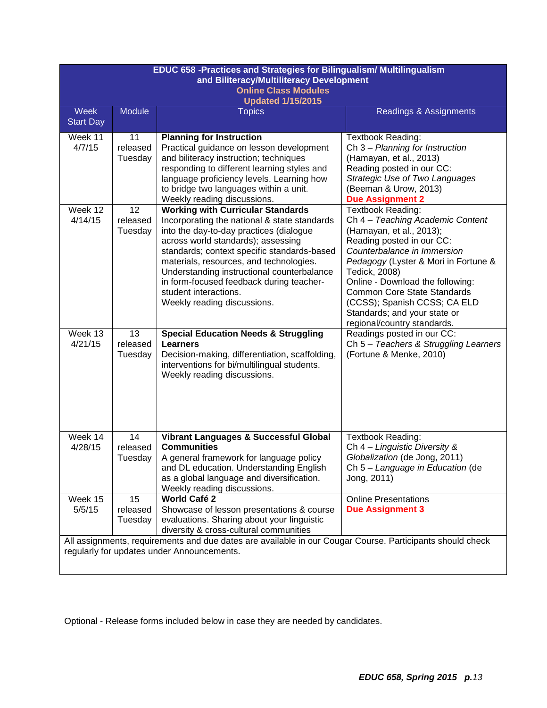| EDUC 658 -Practices and Strategies for Bilingualism/ Multilingualism<br>and Biliteracy/Multiliteracy Development                                        |                           |                                                                                                                                                                                                                                                                                                                                                                                                                       |                                                                                                                                                                                                                                                                                                                                                                                 |  |
|---------------------------------------------------------------------------------------------------------------------------------------------------------|---------------------------|-----------------------------------------------------------------------------------------------------------------------------------------------------------------------------------------------------------------------------------------------------------------------------------------------------------------------------------------------------------------------------------------------------------------------|---------------------------------------------------------------------------------------------------------------------------------------------------------------------------------------------------------------------------------------------------------------------------------------------------------------------------------------------------------------------------------|--|
| <b>Online Class Modules</b><br><b>Updated 1/15/2015</b>                                                                                                 |                           |                                                                                                                                                                                                                                                                                                                                                                                                                       |                                                                                                                                                                                                                                                                                                                                                                                 |  |
| <b>Week</b><br><b>Start Day</b>                                                                                                                         | <b>Module</b>             | <b>Topics</b>                                                                                                                                                                                                                                                                                                                                                                                                         | Readings & Assignments                                                                                                                                                                                                                                                                                                                                                          |  |
| Week 11<br>4/7/15                                                                                                                                       | 11<br>released<br>Tuesday | <b>Planning for Instruction</b><br>Practical guidance on lesson development<br>and biliteracy instruction; techniques<br>responding to different learning styles and<br>language proficiency levels. Learning how<br>to bridge two languages within a unit.<br>Weekly reading discussions.                                                                                                                            | <b>Textbook Reading:</b><br>Ch 3 - Planning for Instruction<br>(Hamayan, et al., 2013)<br>Reading posted in our CC:<br>Strategic Use of Two Languages<br>(Beeman & Urow, 2013)<br><b>Due Assignment 2</b>                                                                                                                                                                       |  |
| Week 12<br>4/14/15                                                                                                                                      | 12<br>released<br>Tuesday | <b>Working with Curricular Standards</b><br>Incorporating the national & state standards<br>into the day-to-day practices (dialogue<br>across world standards); assessing<br>standards; context specific standards-based<br>materials, resources, and technologies.<br>Understanding instructional counterbalance<br>in form-focused feedback during teacher-<br>student interactions.<br>Weekly reading discussions. | Textbook Reading:<br>Ch 4 - Teaching Academic Content<br>(Hamayan, et al., 2013);<br>Reading posted in our CC:<br>Counterbalance in Immersion<br>Pedagogy (Lyster & Mori in Fortune &<br>Tedick, 2008)<br>Online - Download the following:<br><b>Common Core State Standards</b><br>(CCSS); Spanish CCSS; CA ELD<br>Standards; and your state or<br>regional/country standards. |  |
| Week 13<br>4/21/15                                                                                                                                      | 13<br>released<br>Tuesday | <b>Special Education Needs &amp; Struggling</b><br><b>Learners</b><br>Decision-making, differentiation, scaffolding,<br>interventions for bi/multilingual students.<br>Weekly reading discussions.                                                                                                                                                                                                                    | Readings posted in our CC:<br>Ch 5 - Teachers & Struggling Learners<br>(Fortune & Menke, 2010)                                                                                                                                                                                                                                                                                  |  |
| Week 14<br>4/28/15                                                                                                                                      | 14<br>released<br>Tuesday | <b>Vibrant Languages &amp; Successful Global</b><br><b>Communities</b><br>A general framework for language policy<br>and DL education. Understanding English<br>as a global language and diversification.<br>Weekly reading discussions.                                                                                                                                                                              | Textbook Reading:<br>Ch 4 - Linguistic Diversity &<br>Globalization (de Jong, 2011)<br>Ch 5 - Language in Education (de<br>Jong, 2011)                                                                                                                                                                                                                                          |  |
| Week 15<br>5/5/15                                                                                                                                       | 15<br>released<br>Tuesday | <b>World Café 2</b><br>Showcase of lesson presentations & course<br>evaluations. Sharing about your linguistic<br>diversity & cross-cultural communities                                                                                                                                                                                                                                                              | <b>Online Presentations</b><br><b>Due Assignment 3</b>                                                                                                                                                                                                                                                                                                                          |  |
| All assignments, requirements and due dates are available in our Cougar Course. Participants should check<br>regularly for updates under Announcements. |                           |                                                                                                                                                                                                                                                                                                                                                                                                                       |                                                                                                                                                                                                                                                                                                                                                                                 |  |

Optional - Release forms included below in case they are needed by candidates.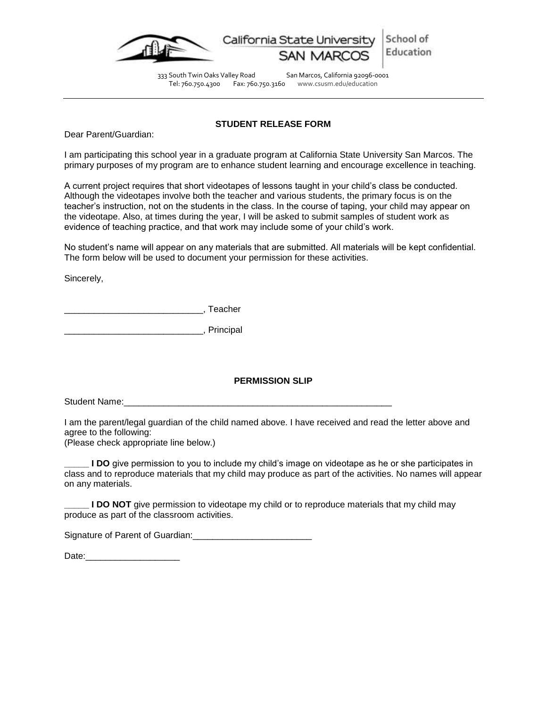



333 South Twin Oaks Valley Road San Marcos, California 92096-0001 Tel: 760.750.4300 Fax: 760.750.3160 www.csusm.edu/education

## **STUDENT RELEASE FORM**

<span id="page-13-0"></span>Dear Parent/Guardian:

I am participating this school year in a graduate program at California State University San Marcos. The primary purposes of my program are to enhance student learning and encourage excellence in teaching.

A current project requires that short videotapes of lessons taught in your child's class be conducted. Although the videotapes involve both the teacher and various students, the primary focus is on the teacher's instruction, not on the students in the class. In the course of taping, your child may appear on the videotape. Also, at times during the year, I will be asked to submit samples of student work as evidence of teaching practice, and that work may include some of your child's work.

No student's name will appear on any materials that are submitted. All materials will be kept confidential. The form below will be used to document your permission for these activities.

Sincerely,

\_\_\_\_\_\_\_\_\_\_\_\_\_\_\_\_\_\_\_\_\_\_\_\_\_\_\_\_, Teacher

\_\_\_\_\_\_\_\_\_\_\_\_\_\_\_\_\_\_\_\_\_\_\_\_\_\_\_\_, Principal

# **PERMISSION SLIP**

Student Name:

I am the parent/legal guardian of the child named above. I have received and read the letter above and agree to the following:

(Please check appropriate line below.)

**\_\_\_\_\_ I DO** give permission to you to include my child's image on videotape as he or she participates in class and to reproduce materials that my child may produce as part of the activities. No names will appear on any materials.

**I DO NOT** give permission to videotape my child or to reproduce materials that my child may produce as part of the classroom activities.

Signature of Parent of Guardian:

Date:\_\_\_\_\_\_\_\_\_\_\_\_\_\_\_\_\_\_\_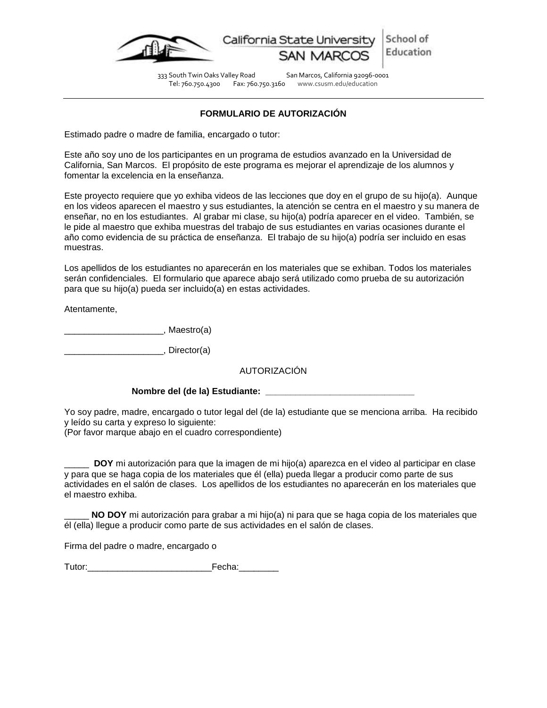

School of California State University Education

333 South Twin Oaks Valley Road San Marcos, California 92096-0001 Tel: 760.750.4300 Fax: 760.750.3160 www.csusm.edu/education

# **FORMULARIO DE AUTORIZACIÓN**

<span id="page-14-0"></span>Estimado padre o madre de familia, encargado o tutor:

Este año soy uno de los participantes en un programa de estudios avanzado en la Universidad de California, San Marcos. El propósito de este programa es mejorar el aprendizaje de los alumnos y fomentar la excelencia en la enseñanza.

Este proyecto requiere que yo exhiba videos de las lecciones que doy en el grupo de su hijo(a). Aunque en los videos aparecen el maestro y sus estudiantes, la atención se centra en el maestro y su manera de enseñar, no en los estudiantes. Al grabar mi clase, su hijo(a) podría aparecer en el video. También, se le pide al maestro que exhiba muestras del trabajo de sus estudiantes en varias ocasiones durante el año como evidencia de su práctica de enseñanza. El trabajo de su hijo(a) podría ser incluido en esas muestras.

Los apellidos de los estudiantes no aparecerán en los materiales que se exhiban. Todos los materiales serán confidenciales. El formulario que aparece abajo será utilizado como prueba de su autorización para que su hijo(a) pueda ser incluido(a) en estas actividades.

Atentamente,

\_\_\_\_\_\_\_\_\_\_\_\_\_\_\_\_\_\_\_\_, Maestro(a)

example. Director(a)

AUTORIZACIÓN

# Nombre del (de la) Estudiante:

Yo soy padre, madre, encargado o tutor legal del (de la) estudiante que se menciona arriba. Ha recibido y leído su carta y expreso lo siguiente:

(Por favor marque abajo en el cuadro correspondiente)

\_\_\_\_\_ **DOY** mi autorización para que la imagen de mi hijo(a) aparezca en el video al participar en clase y para que se haga copia de los materiales que él (ella) pueda llegar a producir como parte de sus actividades en el salón de clases. Los apellidos de los estudiantes no aparecerán en los materiales que el maestro exhiba.

\_\_\_\_\_ **NO DOY** mi autorización para grabar a mi hijo(a) ni para que se haga copia de los materiales que él (ella) llegue a producir como parte de sus actividades en el salón de clases.

Firma del padre o madre, encargado o

Tutor:\_\_\_\_\_\_\_\_\_\_\_\_\_\_\_\_\_\_\_\_\_\_\_\_\_Fecha:\_\_\_\_\_\_\_\_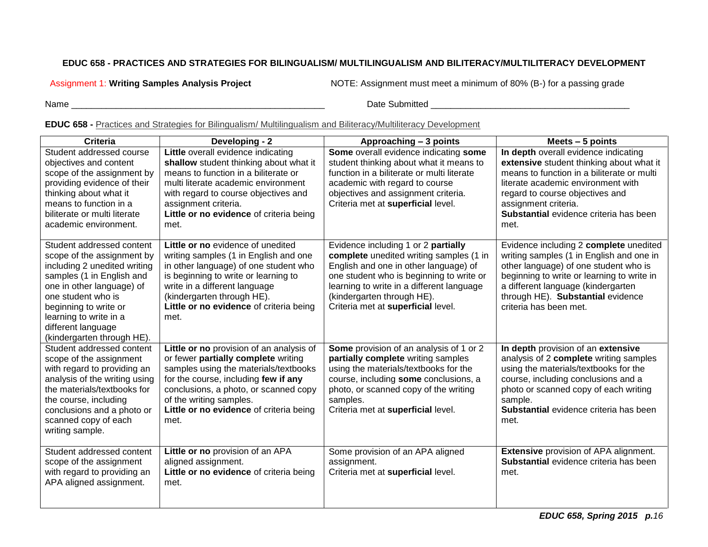# **EDUC 658 - PRACTICES AND STRATEGIES FOR BILINGUALISM/ MULTILINGUALISM AND BILITERACY/MULTILITERACY DEVELOPMENT**

Assignment 1: **Writing Samples Analysis Project** NOTE: Assignment must meet a minimum of 80% (B-) for a passing grade

Name **we can also contribute the control of the Submitted Control of the Submitted Control of the Submitted Control of the Submitted Control of the Submitted Control of the Submitted Control of the Submitted Control of the** 

# **EDUC 658 -** Practices and Strategies for Bilingualism/ Multilingualism and Biliteracy/Multiliteracy Development

<span id="page-15-0"></span>

| Criteria                                                                                                                                                                                                                                                                       | Developing - 2                                                                                                                                                                                                                                                                          | Approaching - 3 points                                                                                                                                                                                                                                                               | Meets $-5$ points                                                                                                                                                                                                                                                                 |
|--------------------------------------------------------------------------------------------------------------------------------------------------------------------------------------------------------------------------------------------------------------------------------|-----------------------------------------------------------------------------------------------------------------------------------------------------------------------------------------------------------------------------------------------------------------------------------------|--------------------------------------------------------------------------------------------------------------------------------------------------------------------------------------------------------------------------------------------------------------------------------------|-----------------------------------------------------------------------------------------------------------------------------------------------------------------------------------------------------------------------------------------------------------------------------------|
| Student addressed course<br>objectives and content<br>scope of the assignment by<br>providing evidence of their<br>thinking about what it<br>means to function in a<br>biliterate or multi literate<br>academic environment.                                                   | Little overall evidence indicating<br>shallow student thinking about what it<br>means to function in a biliterate or<br>multi literate academic environment<br>with regard to course objectives and<br>assignment criteria.<br>Little or no evidence of criteria being<br>met.          | Some overall evidence indicating some<br>student thinking about what it means to<br>function in a biliterate or multi literate<br>academic with regard to course<br>objectives and assignment criteria.<br>Criteria met at superficial level.                                        | In depth overall evidence indicating<br>extensive student thinking about what it<br>means to function in a biliterate or multi<br>literate academic environment with<br>regard to course objectives and<br>assignment criteria.<br>Substantial evidence criteria has been<br>met. |
| Student addressed content<br>scope of the assignment by<br>including 2 unedited writing<br>samples (1 in English and<br>one in other language) of<br>one student who is<br>beginning to write or<br>learning to write in a<br>different language<br>(kindergarten through HE). | Little or no evidence of unedited<br>writing samples (1 in English and one<br>in other language) of one student who<br>is beginning to write or learning to<br>write in a different language<br>(kindergarten through HE).<br>Little or no evidence of criteria being<br>met.           | Evidence including 1 or 2 partially<br>complete unedited writing samples (1 in<br>English and one in other language) of<br>one student who is beginning to write or<br>learning to write in a different language<br>(kindergarten through HE).<br>Criteria met at superficial level. | Evidence including 2 complete unedited<br>writing samples (1 in English and one in<br>other language) of one student who is<br>beginning to write or learning to write in<br>a different language (kindergarten<br>through HE). Substantial evidence<br>criteria has been met.    |
| Student addressed content<br>scope of the assignment<br>with regard to providing an<br>analysis of the writing using<br>the materials/textbooks for<br>the course, including<br>conclusions and a photo or<br>scanned copy of each<br>writing sample.                          | Little or no provision of an analysis of<br>or fewer partially complete writing<br>samples using the materials/textbooks<br>for the course, including few if any<br>conclusions, a photo, or scanned copy<br>of the writing samples.<br>Little or no evidence of criteria being<br>met. | Some provision of an analysis of 1 or 2<br>partially complete writing samples<br>using the materials/textbooks for the<br>course, including some conclusions, a<br>photo, or scanned copy of the writing<br>samples.<br>Criteria met at superficial level.                           | In depth provision of an extensive<br>analysis of 2 complete writing samples<br>using the materials/textbooks for the<br>course, including conclusions and a<br>photo or scanned copy of each writing<br>sample.<br>Substantial evidence criteria has been<br>met.                |
| Student addressed content<br>scope of the assignment<br>with regard to providing an<br>APA aligned assignment.                                                                                                                                                                 | Little or no provision of an APA<br>aligned assignment.<br>Little or no evidence of criteria being<br>met.                                                                                                                                                                              | Some provision of an APA aligned<br>assignment.<br>Criteria met at superficial level.                                                                                                                                                                                                | <b>Extensive provision of APA alignment.</b><br>Substantial evidence criteria has been<br>met.                                                                                                                                                                                    |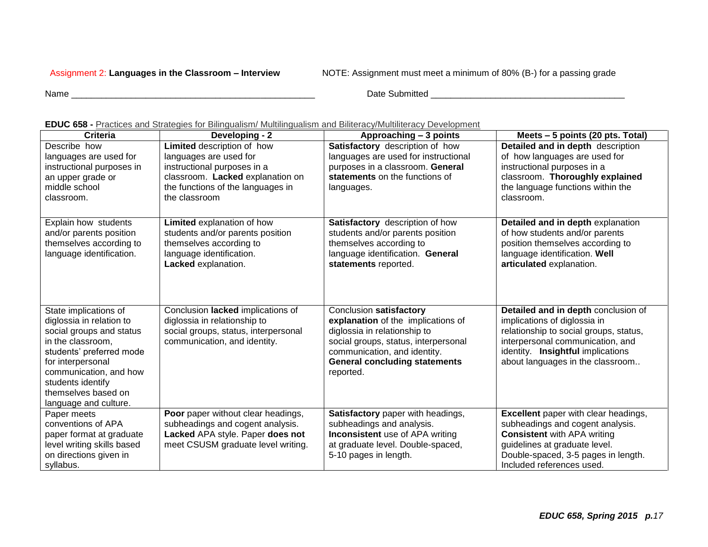Assignment 2: **Languages in the Classroom – Interview** NOTE: Assignment must meet a minimum of 80% (B-) for a passing grade

Name \_\_\_\_\_\_\_\_\_\_\_\_\_\_\_\_\_\_\_\_\_\_\_\_\_\_\_\_\_\_\_\_\_\_\_\_\_\_\_\_\_\_\_\_\_\_\_\_\_ Date Submitted \_\_\_\_\_\_\_\_\_\_\_\_\_\_\_\_\_\_\_\_\_\_\_\_\_\_\_\_\_\_\_\_\_\_\_\_\_\_\_

| <b>Criteria</b>            | Developing - 2                       | Approaching - 3 points                 | Meets - 5 points (20 pts. Total)            |
|----------------------------|--------------------------------------|----------------------------------------|---------------------------------------------|
| Describe how               | Limited description of how           | Satisfactory description of how        | Detailed and in depth description           |
| languages are used for     | languages are used for               | languages are used for instructional   | of how languages are used for               |
| instructional purposes in  | instructional purposes in a          | purposes in a classroom. General       | instructional purposes in a                 |
| an upper grade or          | classroom. Lacked explanation on     | statements on the functions of         | classroom. Thoroughly explained             |
| middle school              | the functions of the languages in    | languages.                             | the language functions within the           |
| classroom.                 | the classroom                        |                                        | classroom.                                  |
|                            |                                      |                                        |                                             |
| Explain how students       | Limited explanation of how           | Satisfactory description of how        | Detailed and in depth explanation           |
| and/or parents position    | students and/or parents position     | students and/or parents position       | of how students and/or parents              |
| themselves according to    | themselves according to              | themselves according to                | position themselves according to            |
| language identification.   | language identification.             | language identification. General       | language identification. Well               |
|                            | Lacked explanation.                  | statements reported.                   | articulated explanation.                    |
|                            |                                      |                                        |                                             |
|                            |                                      |                                        |                                             |
|                            |                                      |                                        |                                             |
| State implications of      | Conclusion lacked implications of    | Conclusion satisfactory                | Detailed and in depth conclusion of         |
| diglossia in relation to   | diglossia in relationship to         | explanation of the implications of     | implications of diglossia in                |
| social groups and status   | social groups, status, interpersonal | diglossia in relationship to           | relationship to social groups, status,      |
| in the classroom.          | communication, and identity.         | social groups, status, interpersonal   | interpersonal communication, and            |
| students' preferred mode   |                                      | communication, and identity.           | identity. Insightful implications           |
| for interpersonal          |                                      | <b>General concluding statements</b>   | about languages in the classroom            |
| communication, and how     |                                      | reported.                              |                                             |
| students identify          |                                      |                                        |                                             |
| themselves based on        |                                      |                                        |                                             |
| language and culture.      |                                      |                                        |                                             |
| Paper meets                | Poor paper without clear headings,   | Satisfactory paper with headings,      | <b>Excellent</b> paper with clear headings, |
| conventions of APA         | subheadings and cogent analysis.     | subheadings and analysis.              | subheadings and cogent analysis.            |
| paper format at graduate   | Lacked APA style. Paper does not     | <b>Inconsistent</b> use of APA writing | <b>Consistent with APA writing</b>          |
| level writing skills based | meet CSUSM graduate level writing.   | at graduate level. Double-spaced,      | guidelines at graduate level.               |
| on directions given in     |                                      | 5-10 pages in length.                  | Double-spaced, 3-5 pages in length.         |
| syllabus.                  |                                      |                                        | Included references used.                   |

## **EDUC 658 -** Practices and Strategies for Bilingualism/ Multilingualism and Biliteracy/Multiliteracy Development